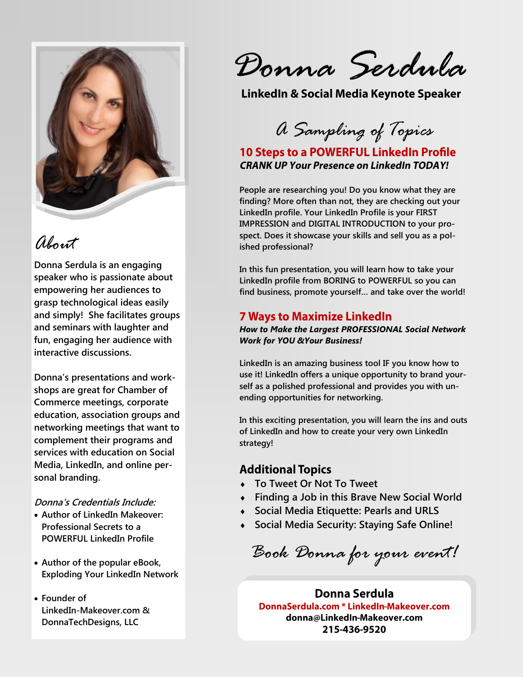

# *About*

**Donna Serdula is an engaging speaker who is passionate about empowering her audiences to grasp technological ideas easily and simply! She facilitates groups and seminars with laughter and fun, engaging her audience with interactive discussions.**

**Donna's presentations and workshops are great for Chamber of Commerce meetings, corporate education, association groups and networking meetings that want to complement their programs and services with education on Social Media, LinkedIn, and online personal branding.** 

#### **Donna's Credentials Include:**

- **Author of LinkedIn Makeover: Professional Secrets to a POWERFUL LinkedIn Profile**
- **Author of the popular eBook, Exploding Your LinkedIn Network**
- **Founder of LinkedIn-Makeover.com & DonnaTechDesigns, LLC**

*Donna Serdula*

*A Sampling of Topics*

## **10 Steps to a POWERFUL LinkedIn Profile CRANK UP Your Presence on LinkedIn TODAY!**

**People are researching you! Do you know what they are finding? More often than not, they are checking out your LinkedIn profile. Your LinkedIn Profile is your FIRST IMPRESSION and DIGITAL INTRODUCTION to your prospect. Does it showcase your skills and sell you as a polished professional?** 

**In this fun presentation, you will learn how to take your LinkedIn profile from BORING to POWERFUL so you can find business, promote yourself… and take over the world!**

### **7 Ways to Maximize LinkedIn**

*How to Make the Largest PROFESSIONAL Social Network Work for YOU &Your Business!*

**LinkedIn is an amazing business tool IF you know how to use it! LinkedIn offers a unique opportunity to brand yourself as a polished professional and provides you with unending opportunities for networking.** 

**In this exciting presentation, you will learn the ins and outs of LinkedIn and how to create your very own LinkedIn strategy!**

#### **Additional Topics**

- **To Tweet Or Not To Tweet**
- **Finding a Job in this Brave New Social World**
- **Social Media Etiquette: Pearls and URLS**
- **Social Media Security: Staying Safe Online!**

*Book Donna for your event!*

Donna Serdula DonnaSerdula.com \* LinkedIn-Makeover.com donna@LinkedIn-Makeover.com 215-436-9520